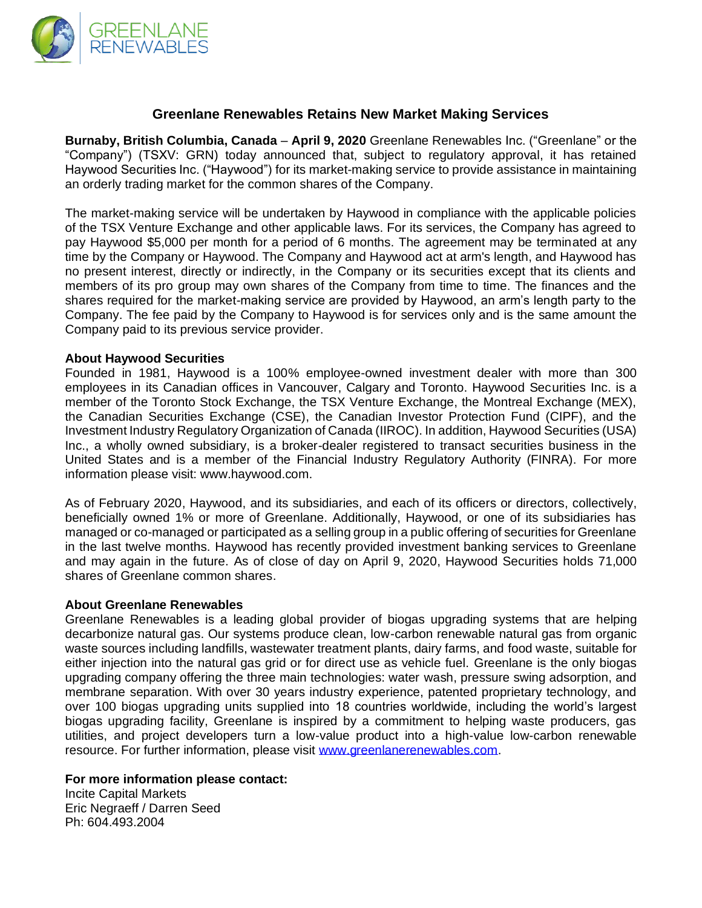

## **Greenlane Renewables Retains New Market Making Services**

**Burnaby, British Columbia, Canada** – **April 9, 2020** Greenlane Renewables Inc. ("Greenlane" or the "Company") (TSXV: GRN) today announced that, subject to regulatory approval, it has retained Haywood Securities Inc. ("Haywood") for its market-making service to provide assistance in maintaining an orderly trading market for the common shares of the Company.

The market-making service will be undertaken by Haywood in compliance with the applicable policies of the TSX Venture Exchange and other applicable laws. For its services, the Company has agreed to pay Haywood \$5,000 per month for a period of 6 months. The agreement may be terminated at any time by the Company or Haywood. The Company and Haywood act at arm's length, and Haywood has no present interest, directly or indirectly, in the Company or its securities except that its clients and members of its pro group may own shares of the Company from time to time. The finances and the shares required for the market-making service are provided by Haywood, an arm's length party to the Company. The fee paid by the Company to Haywood is for services only and is the same amount the Company paid to its previous service provider.

## **About Haywood Securities**

Founded in 1981, Haywood is a 100% employee-owned investment dealer with more than 300 employees in its Canadian offices in Vancouver, Calgary and Toronto. Haywood Securities Inc. is a member of the Toronto Stock Exchange, the TSX Venture Exchange, the Montreal Exchange (MEX), the Canadian Securities Exchange (CSE), the Canadian Investor Protection Fund (CIPF), and the Investment Industry Regulatory Organization of Canada (IIROC). In addition, Haywood Securities (USA) Inc., a wholly owned subsidiary, is a broker-dealer registered to transact securities business in the United States and is a member of the Financial Industry Regulatory Authority (FINRA). For more information please visit: www.haywood.com.

As of February 2020, Haywood, and its subsidiaries, and each of its officers or directors, collectively, beneficially owned 1% or more of Greenlane. Additionally, Haywood, or one of its subsidiaries has managed or co-managed or participated as a selling group in a public offering of securities for Greenlane in the last twelve months. Haywood has recently provided investment banking services to Greenlane and may again in the future. As of close of day on April 9, 2020, Haywood Securities holds 71,000 shares of Greenlane common shares.

## **About Greenlane Renewables**

Greenlane Renewables is a leading global provider of biogas upgrading systems that are helping decarbonize natural gas. Our systems produce clean, low-carbon renewable natural gas from organic waste sources including landfills, wastewater treatment plants, dairy farms, and food waste, suitable for either injection into the natural gas grid or for direct use as vehicle fuel. Greenlane is the only biogas upgrading company offering the three main technologies: water wash, pressure swing adsorption, and membrane separation. With over 30 years industry experience, patented proprietary technology, and over 100 biogas upgrading units supplied into 18 countries worldwide, including the world's largest biogas upgrading facility, Greenlane is inspired by a commitment to helping waste producers, gas utilities, and project developers turn a low-value product into a high-value low-carbon renewable resource. For further information, please visit [www.greenlanerenewables.com.](http://www.greenlanerenewables.com/)

## **For more information please contact:**

Incite Capital Markets Eric Negraeff / Darren Seed Ph: 604.493.2004